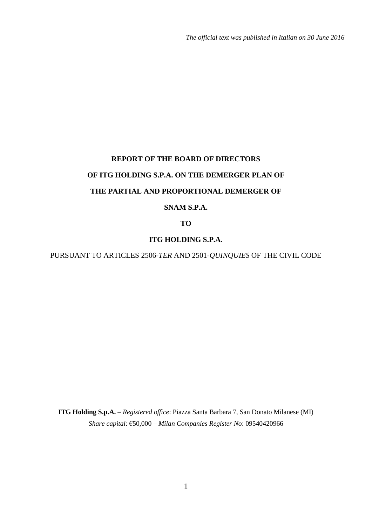*The official text was published in Italian on 30 June 2016*

# **REPORT OF THE BOARD OF DIRECTORS OF ITG HOLDING S.P.A. ON THE DEMERGER PLAN OF THE PARTIAL AND PROPORTIONAL DEMERGER OF**

## **SNAM S.P.A.**

**TO**

## **ITG HOLDING S.P.A.**

PURSUANT TO ARTICLES 2506-*TER* AND 2501-*QUINQUIES* OF THE CIVIL CODE

**ITG Holding S.p.A.** – *Registered office*: Piazza Santa Barbara 7, San Donato Milanese (MI) *Share capital*: €50,000 – *Milan Companies Register No*: 09540420966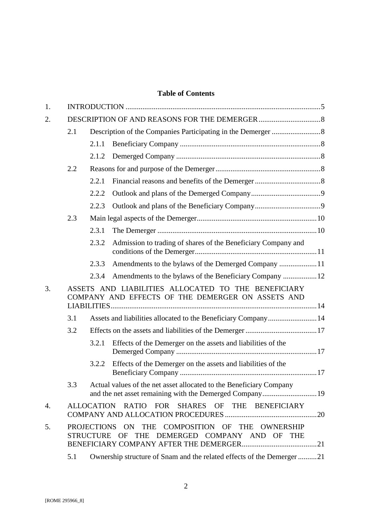## **Table of Contents**

| 1. |     |       |                                                                                                          |  |  |  |  |
|----|-----|-------|----------------------------------------------------------------------------------------------------------|--|--|--|--|
| 2. |     |       |                                                                                                          |  |  |  |  |
|    | 2.1 |       |                                                                                                          |  |  |  |  |
|    |     | 2.1.1 |                                                                                                          |  |  |  |  |
|    |     | 2.1.2 |                                                                                                          |  |  |  |  |
|    | 2.2 |       |                                                                                                          |  |  |  |  |
|    |     | 2.2.1 |                                                                                                          |  |  |  |  |
|    |     | 2.2.2 |                                                                                                          |  |  |  |  |
|    |     | 2.2.3 |                                                                                                          |  |  |  |  |
|    | 2.3 |       |                                                                                                          |  |  |  |  |
|    |     | 2.3.1 |                                                                                                          |  |  |  |  |
|    |     | 2.3.2 | Admission to trading of shares of the Beneficiary Company and                                            |  |  |  |  |
|    |     | 2.3.3 | Amendments to the bylaws of the Demerged Company 11                                                      |  |  |  |  |
|    |     | 2.3.4 | Amendments to the bylaws of the Beneficiary Company  12                                                  |  |  |  |  |
| 3. |     |       | ASSETS AND LIABILITIES ALLOCATED TO THE BENEFICIARY<br>COMPANY AND EFFECTS OF THE DEMERGER ON ASSETS AND |  |  |  |  |
|    | 3.1 |       | Assets and liabilities allocated to the Beneficiary Company 14                                           |  |  |  |  |
|    | 3.2 |       |                                                                                                          |  |  |  |  |
|    |     | 3.2.1 | Effects of the Demerger on the assets and liabilities of the                                             |  |  |  |  |
|    |     |       |                                                                                                          |  |  |  |  |
|    |     | 3.2.2 | Effects of the Demerger on the assets and liabilities of the                                             |  |  |  |  |
|    | 3.3 |       | Actual values of the net asset allocated to the Beneficiary Company                                      |  |  |  |  |
| 4. |     |       | ALLOCATION RATIO FOR SHARES OF THE BENEFICIARY                                                           |  |  |  |  |
| 5. |     |       | PROJECTIONS ON THE COMPOSITION OF THE OWNERSHIP<br>STRUCTURE OF THE DEMERGED COMPANY AND OF THE          |  |  |  |  |
|    | 5.1 |       | Ownership structure of Snam and the related effects of the Demerger21                                    |  |  |  |  |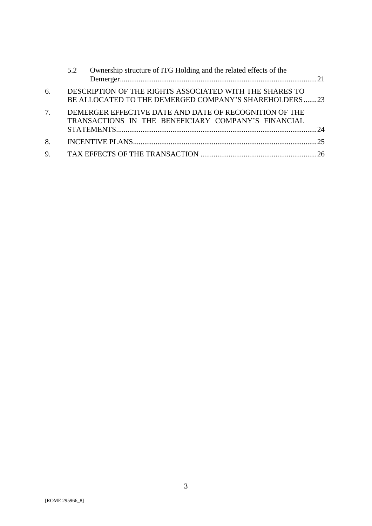|    | 5.2 | Ownership structure of ITG Holding and the related effects of the                                                |  |
|----|-----|------------------------------------------------------------------------------------------------------------------|--|
| 6. |     | DESCRIPTION OF THE RIGHTS ASSOCIATED WITH THE SHARES TO<br>BE ALLOCATED TO THE DEMERGED COMPANY'S SHAREHOLDERS23 |  |
| 7. |     | DEMERGER EFFECTIVE DATE AND DATE OF RECOGNITION OF THE<br>TRANSACTIONS IN THE BENEFICIARY COMPANY'S FINANCIAL    |  |
| 8. |     |                                                                                                                  |  |
| 9. |     |                                                                                                                  |  |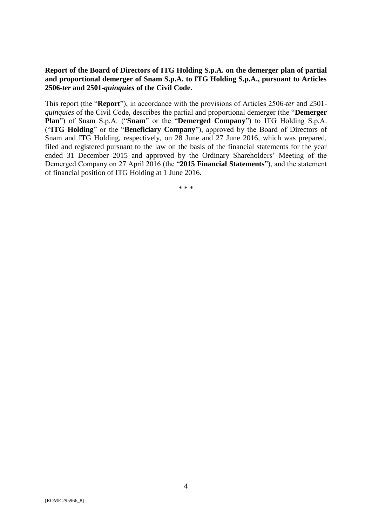#### **Report of the Board of Directors of ITG Holding S.p.A. on the demerger plan of partial and proportional demerger of Snam S.p.A. to ITG Holding S.p.A., pursuant to Articles 2506-***ter* **and 2501-***quinquies* **of the Civil Code.**

This report (the "**Report**"), in accordance with the provisions of Articles 2506-*ter* and 2501 *quinquies* of the Civil Code, describes the partial and proportional demerger (the "**Demerger Plan**") of Snam S.p.A. ("**Snam**" or the "**Demerged Company**") to ITG Holding S.p.A. ("**ITG Holding**" or the "**Beneficiary Company**"), approved by the Board of Directors of Snam and ITG Holding, respectively, on 28 June and 27 June 2016, which was prepared, filed and registered pursuant to the law on the basis of the financial statements for the year ended 31 December 2015 and approved by the Ordinary Shareholders' Meeting of the Demerged Company on 27 April 2016 (the "**2015 Financial Statements**"), and the statement of financial position of ITG Holding at 1 June 2016.

\* \* \*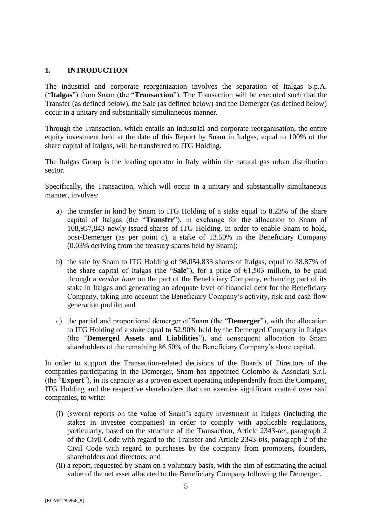## <span id="page-4-0"></span>**1. INTRODUCTION**

The industrial and corporate reorganization involves the separation of Italgas S.p.A. ("**Italgas**") from Snam (the "**Transaction**"). The Transaction will be executed such that the Transfer (as defined below), the Sale (as defined below) and the Demerger (as defined below) occur in a unitary and substantially simultaneous manner.

Through the Transaction, which entails an industrial and corporate reorganisation, the entire equity investment held at the date of this Report by Snam in Italgas, equal to 100% of the share capital of Italgas, will be transferred to ITG Holding.

The Italgas Group is the leading operator in Italy within the natural gas urban distribution sector.

Specifically, the Transaction, which will occur in a unitary and substantially simultaneous manner, involves:

- a) the transfer in kind by Snam to ITG Holding of a stake equal to 8.23% of the share capital of Italgas (the "**Transfer**"), in exchange for the allocation to Snam of 108,957,843 newly issued shares of ITG Holding, in order to enable Snam to hold, post-Demerger (as per point c), a stake of 13.50% in the Beneficiary Company (0.03% deriving from the treasury shares held by Snam);
- b) the sale by Snam to ITG Holding of 98,054,833 shares of Italgas, equal to 38.87% of the share capital of Italgas (the "**Sale**"), for a price of €1,503 million, to be paid through a *vendor loan* on the part of the Beneficiary Company, enhancing part of its stake in Italgas and generating an adequate level of financial debt for the Beneficiary Company, taking into account the Beneficiary Company's activity, risk and cash flow generation profile; and
- c) the partial and proportional demerger of Snam (the "**Demerger**"), with the allocation to ITG Holding of a stake equal to 52.90% held by the Demerged Company in Italgas (the "**Demerged Assets and Liabilities**"), and consequent allocation to Snam shareholders of the remaining 86.50% of the Beneficiary Company's share capital.

In order to support the Transaction-related decisions of the Boards of Directors of the companies participating in the Demerger, Snam has appointed Colombo & Associati S.r.l. (the "**Expert**"), in its capacity as a proven expert operating independently from the Company, ITG Holding and the respective shareholders that can exercise significant control over said companies, to write:

- (i) (sworn) reports on the value of Snam's equity investment in Italgas (including the stakes in investee companies) in order to comply with applicable regulations, particularly, based on the structure of the Transaction, Article 2343-*ter*, paragraph 2 of the Civil Code with regard to the Transfer and Article 2343-*bis*, paragraph 2 of the Civil Code with regard to purchases by the company from promoters, founders, shareholders and directors; and
- (ii) a report, requested by Snam on a voluntary basis, with the aim of estimating the actual value of the net asset allocated to the Beneficiary Company following the Demerger.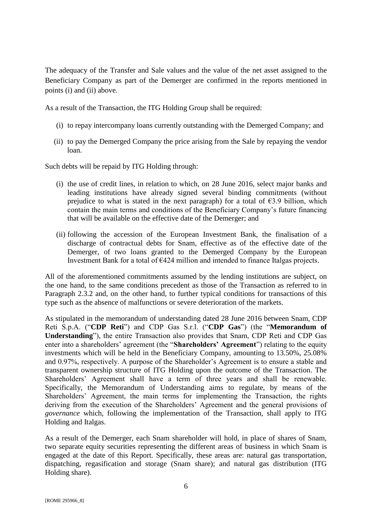The adequacy of the Transfer and Sale values and the value of the net asset assigned to the Beneficiary Company as part of the Demerger are confirmed in the reports mentioned in points (i) and (ii) above.

As a result of the Transaction, the ITG Holding Group shall be required:

- (i) to repay intercompany loans currently outstanding with the Demerged Company; and
- (ii) to pay the Demerged Company the price arising from the Sale by repaying the vendor loan.

Such debts will be repaid by ITG Holding through:

- (i) the use of credit lines, in relation to which, on 28 June 2016, select major banks and leading institutions have already signed several binding commitments (without prejudice to what is stated in the next paragraph) for a total of  $\epsilon$ 3.9 billion, which contain the main terms and conditions of the Beneficiary Company's future financing that will be available on the effective date of the Demerger; and
- (ii) following the accession of the European Investment Bank, the finalisation of a discharge of contractual debts for Snam, effective as of the effective date of the Demerger, of two loans granted to the Demerged Company by the European Investment Bank for a total of €424 million and intended to finance Italgas projects.

All of the aforementioned commitments assumed by the lending institutions are subject, on the one hand, to the same conditions precedent as those of the Transaction as referred to in Paragraph 2.3.2 and, on the other hand, to further typical conditions for transactions of this type such as the absence of malfunctions or severe deterioration of the markets.

As stipulated in the memorandum of understanding dated 28 June 2016 between Snam, CDP Reti S.p.A. ("**CDP Reti**") and CDP Gas S.r.l. ("**CDP Gas**") (the "**Memorandum of Understanding**"), the entire Transaction also provides that Snam, CDP Reti and CDP Gas enter into a shareholders' agreement (the "**Shareholders' Agreement**") relating to the equity investments which will be held in the Beneficiary Company, amounting to 13.50%, 25.08% and 0.97%, respectively. A purpose of the Shareholder's Agreement is to ensure a stable and transparent ownership structure of ITG Holding upon the outcome of the Transaction. The Shareholders' Agreement shall have a term of three years and shall be renewable. Specifically, the Memorandum of Understanding aims to regulate, by means of the Shareholders' Agreement, the main terms for implementing the Transaction, the rights deriving from the execution of the Shareholders' Agreement and the general provisions of *governance* which, following the implementation of the Transaction, shall apply to ITG Holding and Italgas.

As a result of the Demerger, each Snam shareholder will hold, in place of shares of Snam, two separate equity securities representing the different areas of business in which Snam is engaged at the date of this Report. Specifically, these areas are: natural gas transportation, dispatching, regasification and storage (Snam share); and natural gas distribution (ITG Holding share).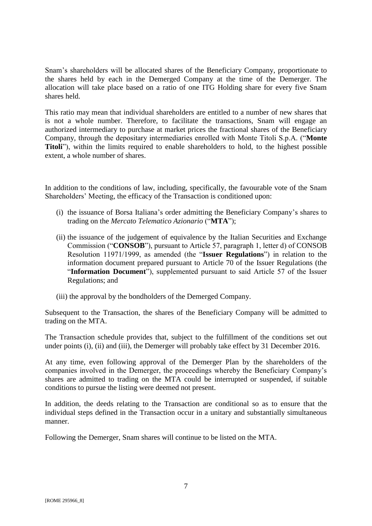Snam's shareholders will be allocated shares of the Beneficiary Company, proportionate to the shares held by each in the Demerged Company at the time of the Demerger. The allocation will take place based on a ratio of one ITG Holding share for every five Snam shares held.

This ratio may mean that individual shareholders are entitled to a number of new shares that is not a whole number. Therefore, to facilitate the transactions, Snam will engage an authorized intermediary to purchase at market prices the fractional shares of the Beneficiary Company, through the depositary intermediaries enrolled with Monte Titoli S.p.A. ("**Monte Titoli**"), within the limits required to enable shareholders to hold, to the highest possible extent, a whole number of shares.

In addition to the conditions of law, including, specifically, the favourable vote of the Snam Shareholders' Meeting, the efficacy of the Transaction is conditioned upon:

- (i) the issuance of Borsa Italiana's order admitting the Beneficiary Company's shares to trading on the *Mercato Telematico Azionario* ("**MTA**");
- (ii) the issuance of the judgement of equivalence by the Italian Securities and Exchange Commission ("**CONSOB**"), pursuant to Article 57, paragraph 1, letter d) of CONSOB Resolution 11971/1999, as amended (the "**Issuer Regulations**") in relation to the information document prepared pursuant to Article 70 of the Issuer Regulations (the "**Information Document**"), supplemented pursuant to said Article 57 of the Issuer Regulations; and
- (iii) the approval by the bondholders of the Demerged Company.

Subsequent to the Transaction, the shares of the Beneficiary Company will be admitted to trading on the MTA.

The Transaction schedule provides that, subject to the fulfillment of the conditions set out under points (i), (ii) and (iii), the Demerger will probably take effect by 31 December 2016.

At any time, even following approval of the Demerger Plan by the shareholders of the companies involved in the Demerger, the proceedings whereby the Beneficiary Company's shares are admitted to trading on the MTA could be interrupted or suspended, if suitable conditions to pursue the listing were deemed not present.

In addition, the deeds relating to the Transaction are conditional so as to ensure that the individual steps defined in the Transaction occur in a unitary and substantially simultaneous manner.

Following the Demerger, Snam shares will continue to be listed on the MTA.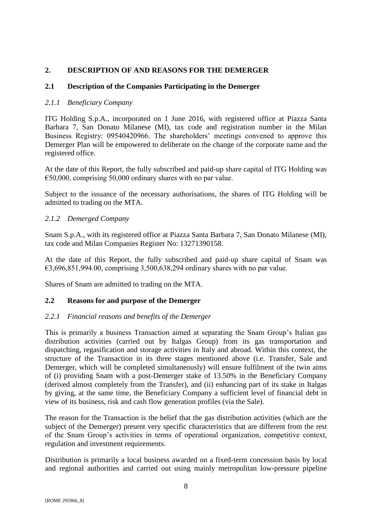## <span id="page-7-0"></span>**2. DESCRIPTION OF AND REASONS FOR THE DEMERGER**

## <span id="page-7-1"></span>**2.1 Description of the Companies Participating in the Demerger**

#### <span id="page-7-2"></span>*2.1.1 Beneficiary Company*

ITG Holding S.p.A., incorporated on 1 June 2016, with registered office at Piazza Santa Barbara 7, San Donato Milanese (MI), tax code and registration number in the Milan Business Registry: 09540420966. The shareholders' meetings convened to approve this Demerger Plan will be empowered to deliberate on the change of the corporate name and the registered office.

At the date of this Report, the fully subscribed and paid-up share capital of ITG Holding was  $\epsilon$ 50,000, comprising 50,000 ordinary shares with no par value.

Subject to the issuance of the necessary authorisations, the shares of ITG Holding will be admitted to trading on the MTA.

## <span id="page-7-3"></span>*2.1.2 Demerged Company*

Snam S.p.A., with its registered office at Piazza Santa Barbara 7, San Donato Milanese (MI), tax code and Milan Companies Register No: 13271390158.

At the date of this Report, the fully subscribed and paid-up share capital of Snam was  $\text{\textsterling}3,696,851,994.00$ , comprising 3,500,638,294 ordinary shares with no par value.

Shares of Snam are admitted to trading on the MTA.

## <span id="page-7-4"></span>**2.2 Reasons for and purpose of the Demerger**

#### <span id="page-7-5"></span>*2.2.1 Financial reasons and benefits of the Demerger*

This is primarily a business Transaction aimed at separating the Snam Group's Italian gas distribution activities (carried out by Italgas Group) from its gas transportation and dispatching, regasification and storage activities in Italy and abroad. Within this context, the structure of the Transaction in its three stages mentioned above (i.e. Transfer, Sale and Demerger, which will be completed simultaneously) will ensure fulfilment of the twin aims of (i) providing Snam with a post-Demerger stake of 13.50% in the Beneficiary Company (derived almost completely from the Transfer), and (ii) enhancing part of its stake in Italgas by giving, at the same time, the Beneficiary Company a sufficient level of financial debt in view of its business, risk and cash flow generation profiles (via the Sale).

The reason for the Transaction is the belief that the gas distribution activities (which are the subject of the Demerger) present very specific characteristics that are different from the rest of the Snam Group's activities in terms of operational organization, competitive context, regulation and investment requirements.

Distribution is primarily a local business awarded on a fixed-term concession basis by local and regional authorities and carried out using mainly metropolitan low-pressure pipeline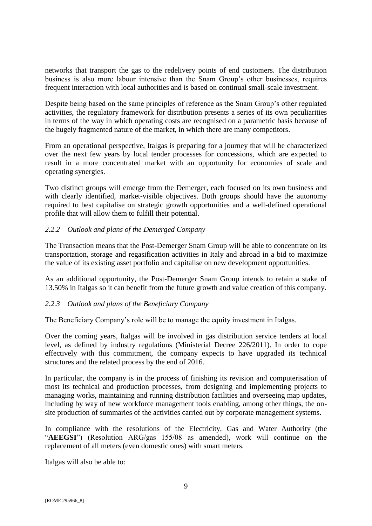networks that transport the gas to the redelivery points of end customers. The distribution business is also more labour intensive than the Snam Group's other businesses, requires frequent interaction with local authorities and is based on continual small-scale investment.

Despite being based on the same principles of reference as the Snam Group's other regulated activities, the regulatory framework for distribution presents a series of its own peculiarities in terms of the way in which operating costs are recognised on a parametric basis because of the hugely fragmented nature of the market, in which there are many competitors.

From an operational perspective, Italgas is preparing for a journey that will be characterized over the next few years by local tender processes for concessions, which are expected to result in a more concentrated market with an opportunity for economies of scale and operating synergies.

Two distinct groups will emerge from the Demerger, each focused on its own business and with clearly identified, market-visible objectives. Both groups should have the autonomy required to best capitalise on strategic growth opportunities and a well-defined operational profile that will allow them to fulfill their potential.

## <span id="page-8-0"></span>*2.2.2 Outlook and plans of the Demerged Company*

The Transaction means that the Post-Demerger Snam Group will be able to concentrate on its transportation, storage and regasification activities in Italy and abroad in a bid to maximize the value of its existing asset portfolio and capitalise on new development opportunities.

As an additional opportunity, the Post-Demerger Snam Group intends to retain a stake of 13.50% in Italgas so it can benefit from the future growth and value creation of this company.

#### <span id="page-8-1"></span>*2.2.3 Outlook and plans of the Beneficiary Company*

The Beneficiary Company's role will be to manage the equity investment in Italgas.

Over the coming years, Italgas will be involved in gas distribution service tenders at local level, as defined by industry regulations (Ministerial Decree 226/2011). In order to cope effectively with this commitment, the company expects to have upgraded its technical structures and the related process by the end of 2016.

In particular, the company is in the process of finishing its revision and computerisation of most its technical and production processes, from designing and implementing projects to managing works, maintaining and running distribution facilities and overseeing map updates, including by way of new workforce management tools enabling, among other things, the onsite production of summaries of the activities carried out by corporate management systems.

In compliance with the resolutions of the Electricity, Gas and Water Authority (the "**AEEGSI**") (Resolution ARG/gas 155/08 as amended), work will continue on the replacement of all meters (even domestic ones) with smart meters.

Italgas will also be able to: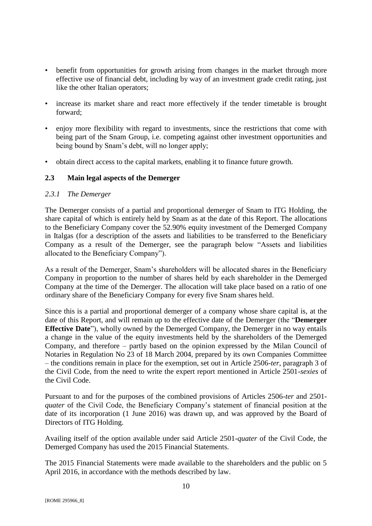- benefit from opportunities for growth arising from changes in the market through more effective use of financial debt, including by way of an investment grade credit rating, just like the other Italian operators;
- increase its market share and react more effectively if the tender timetable is brought forward;
- enjoy more flexibility with regard to investments, since the restrictions that come with being part of the Snam Group, i.e. competing against other investment opportunities and being bound by Snam's debt, will no longer apply;
- obtain direct access to the capital markets, enabling it to finance future growth.

## <span id="page-9-0"></span>**2.3 Main legal aspects of the Demerger**

#### <span id="page-9-1"></span>*2.3.1 The Demerger*

The Demerger consists of a partial and proportional demerger of Snam to ITG Holding, the share capital of which is entirely held by Snam as at the date of this Report. The allocations to the Beneficiary Company cover the 52.90% equity investment of the Demerged Company in Italgas (for a description of the assets and liabilities to be transferred to the Beneficiary Company as a result of the Demerger, see the paragraph below "Assets and liabilities allocated to the Beneficiary Company").

As a result of the Demerger, Snam's shareholders will be allocated shares in the Beneficiary Company in proportion to the number of shares held by each shareholder in the Demerged Company at the time of the Demerger. The allocation will take place based on a ratio of one ordinary share of the Beneficiary Company for every five Snam shares held.

Since this is a partial and proportional demerger of a company whose share capital is, at the date of this Report, and will remain up to the effective date of the Demerger (the "**Demerger Effective Date**"), wholly owned by the Demerged Company, the Demerger in no way entails a change in the value of the equity investments held by the shareholders of the Demerged Company, and therefore – partly based on the opinion expressed by the Milan Council of Notaries in Regulation No 23 of 18 March 2004, prepared by its own Companies Committee – the conditions remain in place for the exemption, set out in Article 2506-*ter*, paragraph 3 of the Civil Code, from the need to write the expert report mentioned in Article 2501-*sexies* of the Civil Code.

Pursuant to and for the purposes of the combined provisions of Articles 2506-*ter* and 2501 *quater* of the Civil Code, the Beneficiary Company's statement of financial position at the date of its incorporation (1 June 2016) was drawn up, and was approved by the Board of Directors of ITG Holding.

Availing itself of the option available under said Article 2501-*quater* of the Civil Code, the Demerged Company has used the 2015 Financial Statements.

The 2015 Financial Statements were made available to the shareholders and the public on 5 April 2016, in accordance with the methods described by law.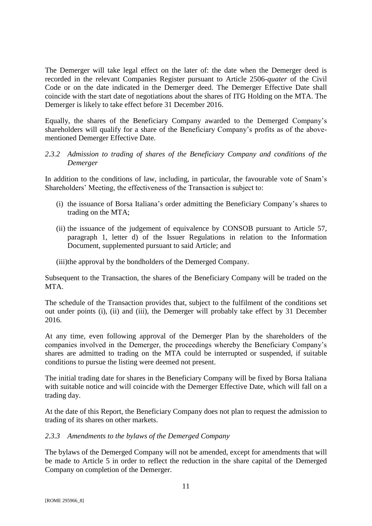The Demerger will take legal effect on the later of: the date when the Demerger deed is recorded in the relevant Companies Register pursuant to Article 2506-*quater* of the Civil Code or on the date indicated in the Demerger deed. The Demerger Effective Date shall coincide with the start date of negotiations about the shares of ITG Holding on the MTA. The Demerger is likely to take effect before 31 December 2016.

Equally, the shares of the Beneficiary Company awarded to the Demerged Company's shareholders will qualify for a share of the Beneficiary Company's profits as of the abovementioned Demerger Effective Date.

<span id="page-10-0"></span>*2.3.2 Admission to trading of shares of the Beneficiary Company and conditions of the Demerger*

In addition to the conditions of law, including, in particular, the favourable vote of Snam's Shareholders' Meeting, the effectiveness of the Transaction is subject to:

- (i) the issuance of Borsa Italiana's order admitting the Beneficiary Company's shares to trading on the MTA;
- (ii) the issuance of the judgement of equivalence by CONSOB pursuant to Article 57, paragraph 1, letter d) of the Issuer Regulations in relation to the Information Document, supplemented pursuant to said Article; and

(iii)the approval by the bondholders of the Demerged Company.

Subsequent to the Transaction, the shares of the Beneficiary Company will be traded on the MTA.

The schedule of the Transaction provides that, subject to the fulfilment of the conditions set out under points (i), (ii) and (iii), the Demerger will probably take effect by 31 December 2016.

At any time, even following approval of the Demerger Plan by the shareholders of the companies involved in the Demerger, the proceedings whereby the Beneficiary Company's shares are admitted to trading on the MTA could be interrupted or suspended, if suitable conditions to pursue the listing were deemed not present.

The initial trading date for shares in the Beneficiary Company will be fixed by Borsa Italiana with suitable notice and will coincide with the Demerger Effective Date, which will fall on a trading day.

At the date of this Report, the Beneficiary Company does not plan to request the admission to trading of its shares on other markets.

#### <span id="page-10-1"></span>*2.3.3 Amendments to the bylaws of the Demerged Company*

The bylaws of the Demerged Company will not be amended, except for amendments that will be made to Article 5 in order to reflect the reduction in the share capital of the Demerged Company on completion of the Demerger.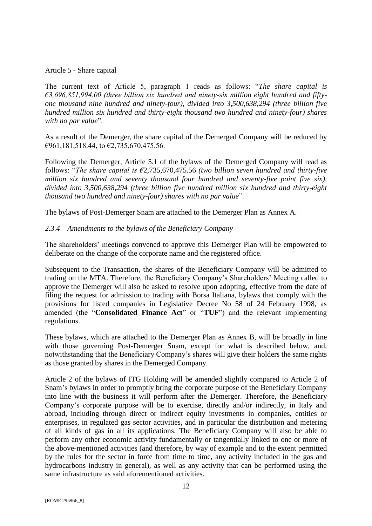#### Article 5 - Share capital

The current text of Article 5, paragraph 1 reads as follows: "*The share capital is €3,696,851,994.00 (three billion six hundred and ninety-six million eight hundred and fiftyone thousand nine hundred and ninety-four), divided into 3,500,638,294 (three billion five hundred million six hundred and thirty-eight thousand two hundred and ninety-four) shares with no par value*".

As a result of the Demerger, the share capital of the Demerged Company will be reduced by €961,181,518.44, to €2,735,670,475.56.

Following the Demerger, Article 5.1 of the bylaws of the Demerged Company will read as follows: "*The share capital is €*2,735,670,475.56 *(two billion seven hundred and thirty-five million six hundred and seventy thousand four hundred and seventy-five point five six), divided into 3,500,638,294 (three billion five hundred million six hundred and thirty-eight thousand two hundred and ninety-four) shares with no par value*".

The bylaws of Post-Demerger Snam are attached to the Demerger Plan as Annex A.

## <span id="page-11-0"></span>*2.3.4 Amendments to the bylaws of the Beneficiary Company*

The shareholders' meetings convened to approve this Demerger Plan will be empowered to deliberate on the change of the corporate name and the registered office.

Subsequent to the Transaction, the shares of the Beneficiary Company will be admitted to trading on the MTA. Therefore, the Beneficiary Company's Shareholders' Meeting called to approve the Demerger will also be asked to resolve upon adopting, effective from the date of filing the request for admission to trading with Borsa Italiana, bylaws that comply with the provisions for listed companies in Legislative Decree No 58 of 24 February 1998, as amended (the "**Consolidated Finance Act**" or "**TUF**") and the relevant implementing regulations.

These bylaws, which are attached to the Demerger Plan as Annex B, will be broadly in line with those governing Post-Demerger Snam, except for what is described below, and, notwithstanding that the Beneficiary Company's shares will give their holders the same rights as those granted by shares in the Demerged Company.

Article 2 of the bylaws of ITG Holding will be amended slightly compared to Article 2 of Snam's bylaws in order to promptly bring the corporate purpose of the Beneficiary Company into line with the business it will perform after the Demerger. Therefore, the Beneficiary Company's corporate purpose will be to exercise, directly and/or indirectly, in Italy and abroad, including through direct or indirect equity investments in companies, entities or enterprises, in regulated gas sector activities, and in particular the distribution and metering of all kinds of gas in all its applications. The Beneficiary Company will also be able to perform any other economic activity fundamentally or tangentially linked to one or more of the above-mentioned activities (and therefore, by way of example and to the extent permitted by the rules for the sector in force from time to time, any activity included in the gas and hydrocarbons industry in general), as well as any activity that can be performed using the same infrastructure as said aforementioned activities.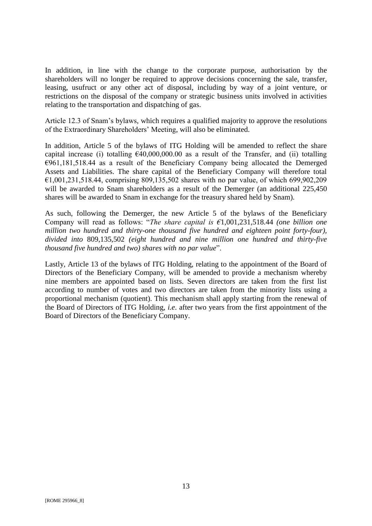In addition, in line with the change to the corporate purpose, authorisation by the shareholders will no longer be required to approve decisions concerning the sale, transfer, leasing, usufruct or any other act of disposal, including by way of a joint venture, or restrictions on the disposal of the company or strategic business units involved in activities relating to the transportation and dispatching of gas.

Article 12.3 of Snam's bylaws, which requires a qualified majority to approve the resolutions of the Extraordinary Shareholders' Meeting, will also be eliminated.

In addition, Article 5 of the bylaws of ITG Holding will be amended to reflect the share capital increase (i) totalling  $£40,000,000.00$  as a result of the Transfer, and (ii) totalling  $€961,181,518.44$  as a result of the Beneficiary Company being allocated the Demerged Assets and Liabilities. The share capital of the Beneficiary Company will therefore total €1,001,231,518.44, comprising 809,135,502 shares with no par value, of which 699,902,209 will be awarded to Snam shareholders as a result of the Demerger (an additional 225,450 shares will be awarded to Snam in exchange for the treasury shared held by Snam).

As such, following the Demerger, the new Article 5 of the bylaws of the Beneficiary Company will read as follows: "*The share capital is €*1,001,231,518.44 *(one billion one million two hundred and thirty-one thousand five hundred and eighteen point forty-four), divided into* 809,135,502 *(eight hundred and nine million one hundred and thirty-five thousand five hundred and two) shares with no par value*".

Lastly, Article 13 of the bylaws of ITG Holding, relating to the appointment of the Board of Directors of the Beneficiary Company, will be amended to provide a mechanism whereby nine members are appointed based on lists. Seven directors are taken from the first list according to number of votes and two directors are taken from the minority lists using a proportional mechanism (quotient). This mechanism shall apply starting from the renewal of the Board of Directors of ITG Holding, *i.e*. after two years from the first appointment of the Board of Directors of the Beneficiary Company.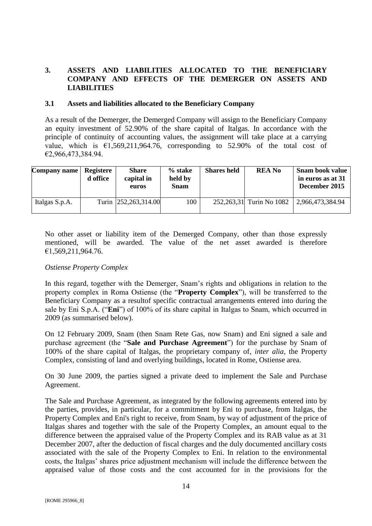## <span id="page-13-0"></span>**3. ASSETS AND LIABILITIES ALLOCATED TO THE BENEFICIARY COMPANY AND EFFECTS OF THE DEMERGER ON ASSETS AND LIABILITIES**

#### <span id="page-13-1"></span>**3.1 Assets and liabilities allocated to the Beneficiary Company**

As a result of the Demerger, the Demerged Company will assign to the Beneficiary Company an equity investment of 52.90% of the share capital of Italgas. In accordance with the principle of continuity of accounting values, the assignment will take place at a carrying value, which is  $\epsilon$ 1,569,211,964.76, corresponding to 52.90% of the total cost of €2,966,473,384.94.

| Company name   Registere | d office | <b>Share</b><br>capital in<br>euros | $%$ stake<br>held by<br><b>Snam</b> | <b>Shares held</b> | REA No                   | <b>Snam book value</b><br>in euros as at 31<br>December 2015 |
|--------------------------|----------|-------------------------------------|-------------------------------------|--------------------|--------------------------|--------------------------------------------------------------|
| Italgas S.p.A.           |          | Turin 252,263,314.00                | 100                                 |                    | 252,263,31 Turin No 1082 | 2,966,473,384.94                                             |

No other asset or liability item of the Demerged Company, other than those expressly mentioned, will be awarded. The value of the net asset awarded is therefore €1,569,211,964.76.

#### *Ostiense Property Complex*

In this regard, together with the Demerger, Snam's rights and obligations in relation to the property complex in Roma Ostiense (the "**Property Complex**"), will be transferred to the Beneficiary Company as a resultof specific contractual arrangements entered into during the sale by Eni S.p.A. ("**Eni**") of 100% of its share capital in Italgas to Snam, which occurred in 2009 (as summarised below).

On 12 February 2009, Snam (then Snam Rete Gas, now Snam) and Eni signed a sale and purchase agreement (the "**Sale and Purchase Agreement**") for the purchase by Snam of 100% of the share capital of Italgas, the proprietary company of*, inter alia*, the Property Complex, consisting of land and overlying buildings, located in Rome, Ostiense area.

On 30 June 2009, the parties signed a private deed to implement the Sale and Purchase Agreement.

The Sale and Purchase Agreement, as integrated by the following agreements entered into by the parties, provides, in particular, for a commitment by Eni to purchase, from Italgas, the Property Complex and Eni's right to receive, from Snam, by way of adjustment of the price of Italgas shares and together with the sale of the Property Complex, an amount equal to the difference between the appraised value of the Property Complex and its RAB value as at 31 December 2007, after the deduction of fiscal charges and the duly documented ancillary costs associated with the sale of the Property Complex to Eni. In relation to the environmental costs, the Italgas' shares price adjustment mechanism will include the difference between the appraised value of those costs and the cost accounted for in the provisions for the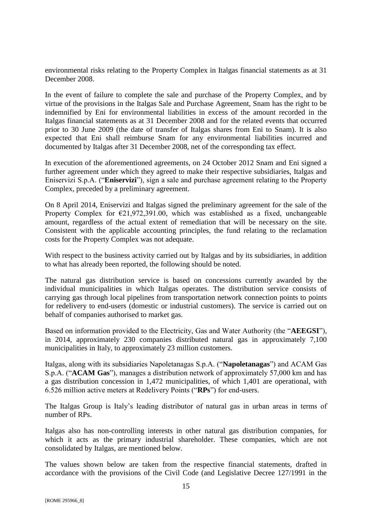environmental risks relating to the Property Complex in Italgas financial statements as at 31 December 2008.

In the event of failure to complete the sale and purchase of the Property Complex, and by virtue of the provisions in the Italgas Sale and Purchase Agreement, Snam has the right to be indemnified by Eni for environmental liabilities in excess of the amount recorded in the Italgas financial statements as at 31 December 2008 and for the related events that occurred prior to 30 June 2009 (the date of transfer of Italgas shares from Eni to Snam). It is also expected that Eni shall reimburse Snam for any environmental liabilities incurred and documented by Italgas after 31 December 2008, net of the corresponding tax effect.

In execution of the aforementioned agreements, on 24 October 2012 Snam and Eni signed a further agreement under which they agreed to make their respective subsidiaries, Italgas and Eniservizi S.p.A. ("**Eniservizi**"), sign a sale and purchase agreement relating to the Property Complex, preceded by a preliminary agreement.

On 8 April 2014, Eniservizi and Italgas signed the preliminary agreement for the sale of the Property Complex for  $\epsilon$ 21,972,391.00, which was established as a fixed, unchangeable amount, regardless of the actual extent of remediation that will be necessary on the site. Consistent with the applicable accounting principles, the fund relating to the reclamation costs for the Property Complex was not adequate.

With respect to the business activity carried out by Italgas and by its subsidiaries, in addition to what has already been reported, the following should be noted.

The natural gas distribution service is based on concessions currently awarded by the individual municipalities in which Italgas operates. The distribution service consists of carrying gas through local pipelines from transportation network connection points to points for redelivery to end-users (domestic or industrial customers). The service is carried out on behalf of companies authorised to market gas.

Based on information provided to the Electricity, Gas and Water Authority (the "**AEEGSI**"), in 2014, approximately 230 companies distributed natural gas in approximately 7,100 municipalities in Italy, to approximately 23 million customers.

Italgas, along with its subsidiaries Napoletanagas S.p.A. ("**Napoletanagas**") and ACAM Gas S.p.A. ("**ACAM Gas**"), manages a distribution network of approximately 57,000 km and has a gas distribution concession in 1,472 municipalities, of which 1,401 are operational, with 6.526 million active meters at Redelivery Points ("**RPs**") for end-users.

The Italgas Group is Italy's leading distributor of natural gas in urban areas in terms of number of RPs.

Italgas also has non-controlling interests in other natural gas distribution companies, for which it acts as the primary industrial shareholder. These companies, which are not consolidated by Italgas, are mentioned below.

The values shown below are taken from the respective financial statements, drafted in accordance with the provisions of the Civil Code (and Legislative Decree 127/1991 in the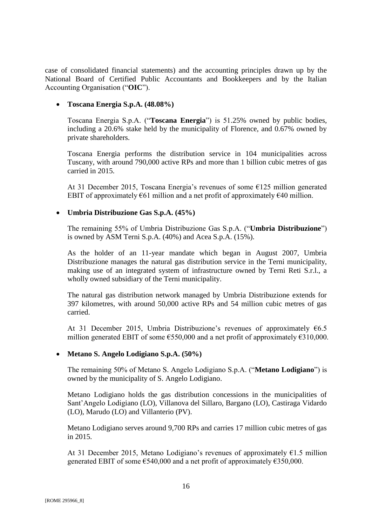case of consolidated financial statements) and the accounting principles drawn up by the National Board of Certified Public Accountants and Bookkeepers and by the Italian Accounting Organisation ("**OIC**").

## **Toscana Energia S.p.A. (48.08%)**

Toscana Energia S.p.A. ("**Toscana Energia**") is 51.25% owned by public bodies, including a 20.6% stake held by the municipality of Florence, and 0.67% owned by private shareholders.

Toscana Energia performs the distribution service in 104 municipalities across Tuscany, with around 790,000 active RPs and more than 1 billion cubic metres of gas carried in 2015.

At 31 December 2015, Toscana Energia's revenues of some €125 million generated EBIT of approximately  $\epsilon$ 61 million and a net profit of approximately  $\epsilon$ 40 million.

## **Umbria Distribuzione Gas S.p.A. (45%)**

The remaining 55% of Umbria Distribuzione Gas S.p.A. ("**Umbria Distribuzione**") is owned by ASM Terni S.p.A. (40%) and Acea S.p.A. (15%).

As the holder of an 11-year mandate which began in August 2007, Umbria Distribuzione manages the natural gas distribution service in the Terni municipality, making use of an integrated system of infrastructure owned by Terni Reti S.r.l., a wholly owned subsidiary of the Terni municipality.

The natural gas distribution network managed by Umbria Distribuzione extends for 397 kilometres, with around 50,000 active RPs and 54 million cubic metres of gas carried.

At 31 December 2015, Umbria Distribuzione's revenues of approximately  $66.5$ million generated EBIT of some  $\epsilon$ 550,000 and a net profit of approximately  $\epsilon$ 310,000.

#### **Metano S. Angelo Lodigiano S.p.A. (50%)**

The remaining 50% of Metano S. Angelo Lodigiano S.p.A. ("**Metano Lodigiano**") is owned by the municipality of S. Angelo Lodigiano.

Metano Lodigiano holds the gas distribution concessions in the municipalities of Sant'Angelo Lodigiano (LO), Villanova del Sillaro, Bargano (LO), Castiraga Vidardo (LO), Marudo (LO) and Villanterio (PV).

Metano Lodigiano serves around 9,700 RPs and carries 17 million cubic metres of gas in 2015.

At 31 December 2015, Metano Lodigiano's revenues of approximately  $E1.5$  million generated EBIT of some  $6540,000$  and a net profit of approximately  $6350,000$ .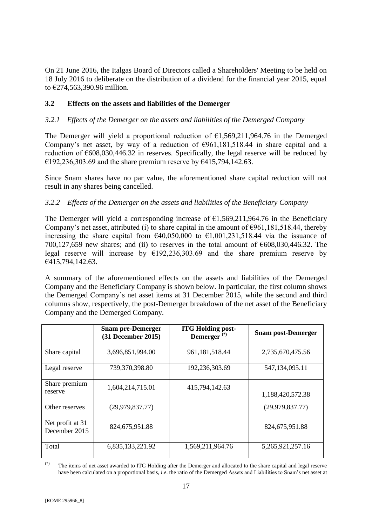On 21 June 2016, the Italgas Board of Directors called a Shareholders' Meeting to be held on 18 July 2016 to deliberate on the distribution of a dividend for the financial year 2015, equal to €274,563,390.96 million.

## <span id="page-16-0"></span>**3.2 Effects on the assets and liabilities of the Demerger**

## <span id="page-16-1"></span>*3.2.1 Effects of the Demerger on the assets and liabilities of the Demerged Company*

The Demerger will yield a proportional reduction of  $\epsilon$ 1.569,211,964.76 in the Demerged Company's net asset, by way of a reduction of  $\epsilon$ 961,181,518.44 in share capital and a reduction of  $\epsilon$ 608,030,446.32 in reserves. Specifically, the legal reserve will be reduced by €192,236,303.69 and the share premium reserve by €415,794,142.63.

Since Snam shares have no par value, the aforementioned share capital reduction will not result in any shares being cancelled.

## <span id="page-16-2"></span>*3.2.2 Effects of the Demerger on the assets and liabilities of the Beneficiary Company*

The Demerger will yield a corresponding increase of  $\epsilon$ 1.569.211.964.76 in the Beneficiary Company's net asset, attributed (i) to share capital in the amount of  $\epsilon$ 961,181,518.44, thereby increasing the share capital from  $\epsilon$ 40,050,000 to  $\epsilon$ 1,001,231,518.44 via the issuance of 700,127,659 new shares; and (ii) to reserves in the total amount of  $\epsilon$ 608,030,446.32. The legal reserve will increase by  $\epsilon$ 192,236,303.69 and the share premium reserve by €415,794,142.63.

A summary of the aforementioned effects on the assets and liabilities of the Demerged Company and the Beneficiary Company is shown below. In particular, the first column shows the Demerged Company's net asset items at 31 December 2015, while the second and third columns show, respectively, the post-Demerger breakdown of the net asset of the Beneficiary Company and the Demerged Company.

|                                   | <b>Snam pre-Demerger</b><br>$(31$ December 2015) | <b>ITG Holding post-</b><br>Demerger <sup>(*)</sup> | <b>Snam post-Demerger</b> |
|-----------------------------------|--------------------------------------------------|-----------------------------------------------------|---------------------------|
| Share capital                     | 3,696,851,994.00                                 | 961,181,518.44                                      | 2,735,670,475.56          |
| Legal reserve                     | 739,370,398.80                                   | 192,236,303.69                                      | 547,134,095.11            |
| Share premium<br>reserve          | 1,604,214,715.01                                 | 415,794,142.63                                      | 1,188,420,572.38          |
| Other reserves                    | (29, 979, 837.77)                                |                                                     | (29, 979, 837.77)         |
| Net profit at 31<br>December 2015 | 824,675,951.88                                   |                                                     | 824,675,951.88            |
| Total                             | 6,835,133,221.92                                 | 1,569,211,964.76                                    | 5,265,921,257.16          |

<sup>(\*)</sup> The items of net asset awarded to ITG Holding after the Demerger and allocated to the share capital and legal reserve have been calculated on a proportional basis, *i.e*. the ratio of the Demerged Assets and Liabilities to Snam's net asset at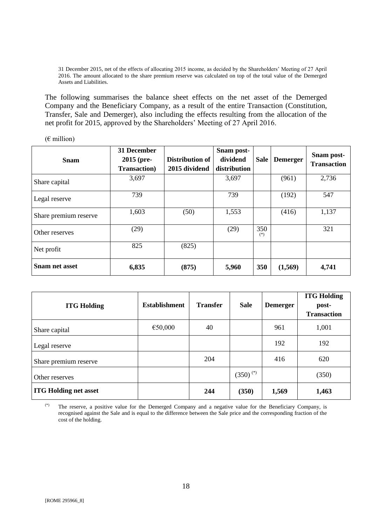31 December 2015, net of the effects of allocating 2015 income, as decided by the Shareholders' Meeting of 27 April 2016. The amount allocated to the share premium reserve was calculated on top of the total value of the Demerged Assets and Liabilities.

The following summarises the balance sheet effects on the net asset of the Demerged Company and the Beneficiary Company, as a result of the entire Transaction (Constitution, Transfer, Sale and Demerger), also including the effects resulting from the allocation of the net profit for 2015, approved by the Shareholders' Meeting of 27 April 2016.

 $(E \text{ million})$ 

| <b>Snam</b>           | 31 December<br>2015 (pre-<br><b>Transaction</b> ) | Distribution of<br>2015 dividend | Snam post-<br>dividend<br>distribution | <b>Sale</b>  | <b>Demerger</b> | Snam post-<br><b>Transaction</b> |
|-----------------------|---------------------------------------------------|----------------------------------|----------------------------------------|--------------|-----------------|----------------------------------|
| Share capital         | 3,697                                             |                                  | 3,697                                  |              | (961)           | 2,736                            |
| Legal reserve         | 739                                               |                                  | 739                                    |              | (192)           | 547                              |
| Share premium reserve | 1,603                                             | (50)                             | 1,553                                  |              | (416)           | 1,137                            |
| Other reserves        | (29)                                              |                                  | (29)                                   | 350<br>$(*)$ |                 | 321                              |
| Net profit            | 825                                               | (825)                            |                                        |              |                 |                                  |
| <b>Snam net asset</b> | 6,835                                             | (875)                            | 5,960                                  | 350          | (1,569)         | 4,741                            |

| <b>ITG Holding</b>           | <b>Establishment</b> | <b>Transfer</b> | <b>Sale</b>   | <b>Demerger</b> | <b>ITG Holding</b><br>post-<br><b>Transaction</b> |
|------------------------------|----------------------|-----------------|---------------|-----------------|---------------------------------------------------|
| Share capital                | €50,000              | 40              |               | 961             | 1,001                                             |
| Legal reserve                |                      |                 |               | 192             | 192                                               |
| Share premium reserve        |                      | 204             |               | 416             | 620                                               |
| Other reserves               |                      |                 | $(350)^{(*)}$ |                 | (350)                                             |
| <b>ITG Holding net asset</b> |                      | 244             | (350)         | 1,569           | 1,463                                             |

(\*) The reserve, a positive value for the Demerged Company and a negative value for the Beneficiary Company, is recognised against the Sale and is equal to the difference between the Sale price and the corresponding fraction of the cost of the holding.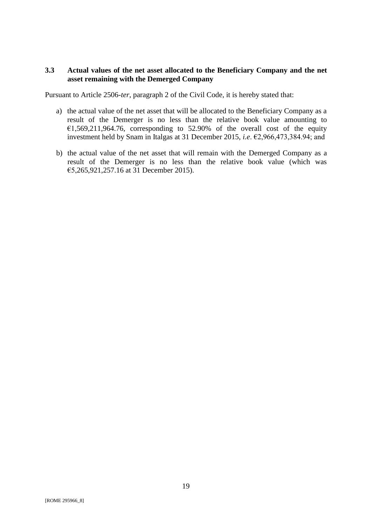## <span id="page-18-0"></span>**3.3 Actual values of the net asset allocated to the Beneficiary Company and the net asset remaining with the Demerged Company**

Pursuant to Article 2506-*ter*, paragraph 2 of the Civil Code, it is hereby stated that:

- a) the actual value of the net asset that will be allocated to the Beneficiary Company as a result of the Demerger is no less than the relative book value amounting to  $€1,569,211,964.76$ , corresponding to 52.90% of the overall cost of the equity investment held by Snam in Italgas at 31 December 2015, *i.e*. €2,966,473,384.94; and
- b) the actual value of the net asset that will remain with the Demerged Company as a result of the Demerger is no less than the relative book value (which was €5,265,921,257.16 at 31 December 2015).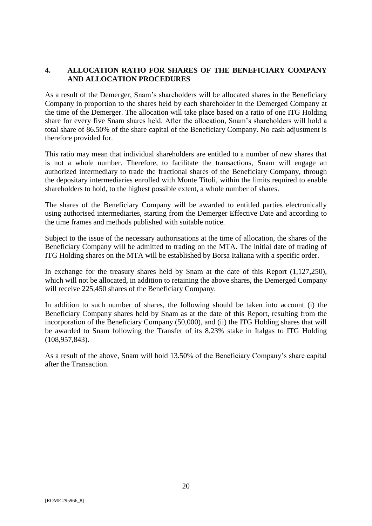## <span id="page-19-0"></span>**4. ALLOCATION RATIO FOR SHARES OF THE BENEFICIARY COMPANY AND ALLOCATION PROCEDURES**

As a result of the Demerger, Snam's shareholders will be allocated shares in the Beneficiary Company in proportion to the shares held by each shareholder in the Demerged Company at the time of the Demerger. The allocation will take place based on a ratio of one ITG Holding share for every five Snam shares held. After the allocation, Snam's shareholders will hold a total share of 86.50% of the share capital of the Beneficiary Company. No cash adjustment is therefore provided for.

This ratio may mean that individual shareholders are entitled to a number of new shares that is not a whole number. Therefore, to facilitate the transactions, Snam will engage an authorized intermediary to trade the fractional shares of the Beneficiary Company, through the depositary intermediaries enrolled with Monte Titoli, within the limits required to enable shareholders to hold, to the highest possible extent, a whole number of shares.

The shares of the Beneficiary Company will be awarded to entitled parties electronically using authorised intermediaries, starting from the Demerger Effective Date and according to the time frames and methods published with suitable notice.

Subject to the issue of the necessary authorisations at the time of allocation, the shares of the Beneficiary Company will be admitted to trading on the MTA. The initial date of trading of ITG Holding shares on the MTA will be established by Borsa Italiana with a specific order.

In exchange for the treasury shares held by Snam at the date of this Report (1,127,250), which will not be allocated, in addition to retaining the above shares, the Demerged Company will receive 225,450 shares of the Beneficiary Company.

In addition to such number of shares, the following should be taken into account (i) the Beneficiary Company shares held by Snam as at the date of this Report, resulting from the incorporation of the Beneficiary Company (50,000), and (ii) the ITG Holding shares that will be awarded to Snam following the Transfer of its 8.23% stake in Italgas to ITG Holding (108,957,843).

As a result of the above, Snam will hold 13.50% of the Beneficiary Company's share capital after the Transaction.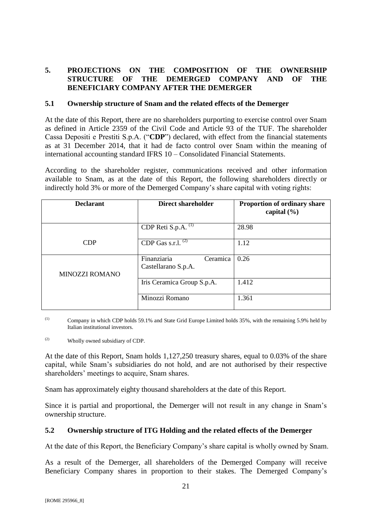## <span id="page-20-0"></span>**5. PROJECTIONS ON THE COMPOSITION OF THE OWNERSHIP STRUCTURE OF THE DEMERGED COMPANY AND OF THE BENEFICIARY COMPANY AFTER THE DEMERGER**

#### <span id="page-20-1"></span>**5.1 Ownership structure of Snam and the related effects of the Demerger**

At the date of this Report, there are no shareholders purporting to exercise control over Snam as defined in Article 2359 of the Civil Code and Article 93 of the TUF. The shareholder Cassa Depositi e Prestiti S.p.A. ("**CDP**") declared, with effect from the financial statements as at 31 December 2014, that it had de facto control over Snam within the meaning of international accounting standard IFRS 10 – Consolidated Financial Statements.

According to the shareholder register, communications received and other information available to Snam, as at the date of this Report, the following shareholders directly or indirectly hold 3% or more of the Demerged Company's share capital with voting rights:

| <b>Declarant</b>      | Direct shareholder                             | <b>Proportion of ordinary share</b><br>capital $(\% )$ |
|-----------------------|------------------------------------------------|--------------------------------------------------------|
|                       | CDP Reti S.p.A. $(1)$                          | 28.98                                                  |
| <b>CDP</b>            | CDP Gas s.r.l. $(2)$                           | 1.12                                                   |
| <b>MINOZZI ROMANO</b> | Finanziaria<br>Ceramica<br>Castellarano S.p.A. | 0.26                                                   |
|                       | Iris Ceramica Group S.p.A.                     | 1.412                                                  |
|                       | Minozzi Romano                                 | 1.361                                                  |

(1) Company in which CDP holds 59.1% and State Grid Europe Limited holds 35%, with the remaining 5.9% held by Italian institutional investors.

(2) Wholly owned subsidiary of CDP.

At the date of this Report, Snam holds 1,127,250 treasury shares, equal to 0.03% of the share capital, while Snam's subsidiaries do not hold, and are not authorised by their respective shareholders' meetings to acquire, Snam shares.

Snam has approximately eighty thousand shareholders at the date of this Report.

Since it is partial and proportional, the Demerger will not result in any change in Snam's ownership structure.

#### <span id="page-20-2"></span>**5.2 Ownership structure of ITG Holding and the related effects of the Demerger**

At the date of this Report, the Beneficiary Company's share capital is wholly owned by Snam.

As a result of the Demerger, all shareholders of the Demerged Company will receive Beneficiary Company shares in proportion to their stakes. The Demerged Company's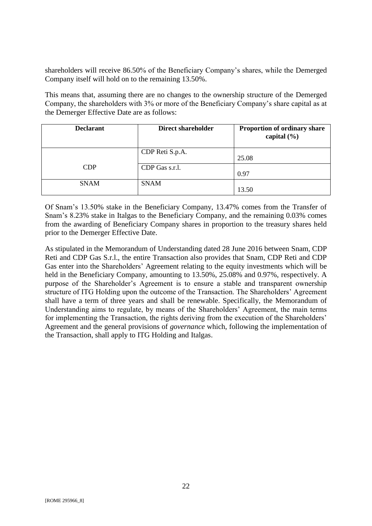shareholders will receive 86.50% of the Beneficiary Company's shares, while the Demerged Company itself will hold on to the remaining 13.50%.

This means that, assuming there are no changes to the ownership structure of the Demerged Company, the shareholders with 3% or more of the Beneficiary Company's share capital as at the Demerger Effective Date are as follows:

| <b>Declarant</b> | <b>Direct shareholder</b> | Proportion of ordinary share<br>capital $(\% )$ |
|------------------|---------------------------|-------------------------------------------------|
|                  | CDP Reti S.p.A.           | 25.08                                           |
| <b>CDP</b>       | CDP Gas s.r.l.            | 0.97                                            |
| <b>SNAM</b>      | <b>SNAM</b>               | 13.50                                           |

Of Snam's 13.50% stake in the Beneficiary Company, 13.47% comes from the Transfer of Snam's 8.23% stake in Italgas to the Beneficiary Company, and the remaining 0.03% comes from the awarding of Beneficiary Company shares in proportion to the treasury shares held prior to the Demerger Effective Date.

As stipulated in the Memorandum of Understanding dated 28 June 2016 between Snam, CDP Reti and CDP Gas S.r.l., the entire Transaction also provides that Snam, CDP Reti and CDP Gas enter into the Shareholders' Agreement relating to the equity investments which will be held in the Beneficiary Company, amounting to 13.50%, 25.08% and 0.97%, respectively. A purpose of the Shareholder's Agreement is to ensure a stable and transparent ownership structure of ITG Holding upon the outcome of the Transaction. The Shareholders' Agreement shall have a term of three years and shall be renewable. Specifically, the Memorandum of Understanding aims to regulate, by means of the Shareholders' Agreement, the main terms for implementing the Transaction, the rights deriving from the execution of the Shareholders' Agreement and the general provisions of *governance* which, following the implementation of the Transaction, shall apply to ITG Holding and Italgas.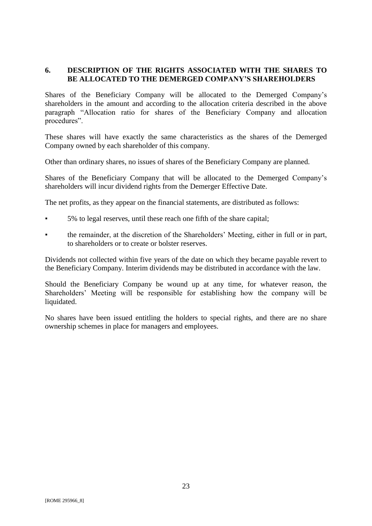## <span id="page-22-0"></span>**6. DESCRIPTION OF THE RIGHTS ASSOCIATED WITH THE SHARES TO BE ALLOCATED TO THE DEMERGED COMPANY'S SHAREHOLDERS**

Shares of the Beneficiary Company will be allocated to the Demerged Company's shareholders in the amount and according to the allocation criteria described in the above paragraph "Allocation ratio for shares of the Beneficiary Company and allocation procedures".

These shares will have exactly the same characteristics as the shares of the Demerged Company owned by each shareholder of this company.

Other than ordinary shares, no issues of shares of the Beneficiary Company are planned.

Shares of the Beneficiary Company that will be allocated to the Demerged Company's shareholders will incur dividend rights from the Demerger Effective Date.

The net profits, as they appear on the financial statements, are distributed as follows:

- 5% to legal reserves, until these reach one fifth of the share capital;
- the remainder, at the discretion of the Shareholders' Meeting, either in full or in part, to shareholders or to create or bolster reserves.

Dividends not collected within five years of the date on which they became payable revert to the Beneficiary Company. Interim dividends may be distributed in accordance with the law.

Should the Beneficiary Company be wound up at any time, for whatever reason, the Shareholders' Meeting will be responsible for establishing how the company will be liquidated.

No shares have been issued entitling the holders to special rights, and there are no share ownership schemes in place for managers and employees.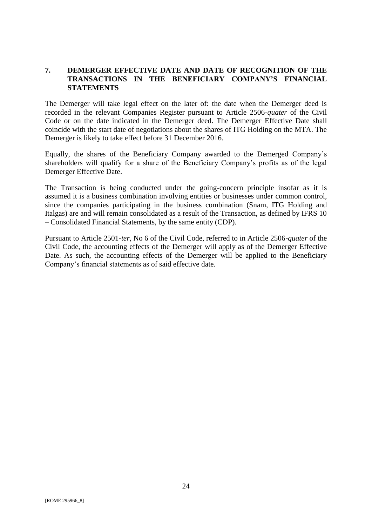## <span id="page-23-0"></span>**7. DEMERGER EFFECTIVE DATE AND DATE OF RECOGNITION OF THE TRANSACTIONS IN THE BENEFICIARY COMPANY'S FINANCIAL STATEMENTS**

The Demerger will take legal effect on the later of: the date when the Demerger deed is recorded in the relevant Companies Register pursuant to Article 2506-*quater* of the Civil Code or on the date indicated in the Demerger deed. The Demerger Effective Date shall coincide with the start date of negotiations about the shares of ITG Holding on the MTA. The Demerger is likely to take effect before 31 December 2016.

Equally, the shares of the Beneficiary Company awarded to the Demerged Company's shareholders will qualify for a share of the Beneficiary Company's profits as of the legal Demerger Effective Date.

The Transaction is being conducted under the going-concern principle insofar as it is assumed it is a business combination involving entities or businesses under common control, since the companies participating in the business combination (Snam, ITG Holding and Italgas) are and will remain consolidated as a result of the Transaction, as defined by IFRS 10 – Consolidated Financial Statements, by the same entity (CDP).

Pursuant to Article 2501-*ter*, No 6 of the Civil Code, referred to in Article 2506-*quater* of the Civil Code, the accounting effects of the Demerger will apply as of the Demerger Effective Date. As such, the accounting effects of the Demerger will be applied to the Beneficiary Company's financial statements as of said effective date.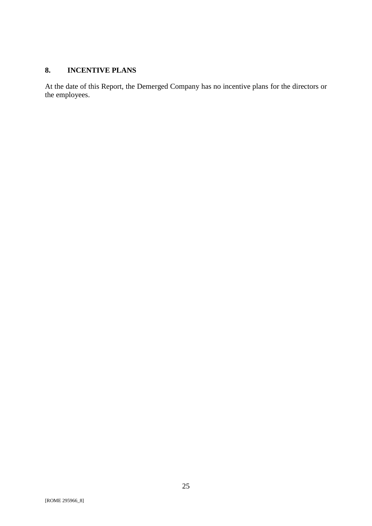# <span id="page-24-0"></span>**8. INCENTIVE PLANS**

At the date of this Report, the Demerged Company has no incentive plans for the directors or the employees.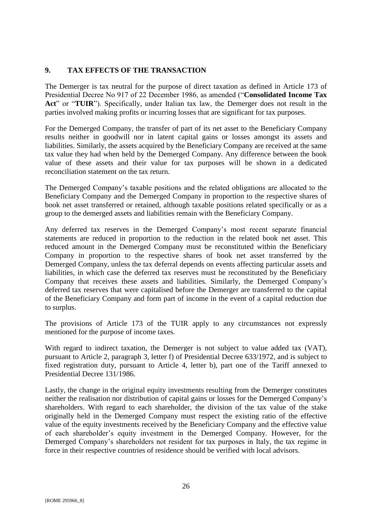## <span id="page-25-0"></span>**9. TAX EFFECTS OF THE TRANSACTION**

The Demerger is tax neutral for the purpose of direct taxation as defined in Article 173 of Presidential Decree No 917 of 22 December 1986, as amended ("**Consolidated Income Tax Act**" or "**TUIR**"). Specifically, under Italian tax law, the Demerger does not result in the parties involved making profits or incurring losses that are significant for tax purposes.

For the Demerged Company, the transfer of part of its net asset to the Beneficiary Company results neither in goodwill nor in latent capital gains or losses amongst its assets and liabilities. Similarly, the assets acquired by the Beneficiary Company are received at the same tax value they had when held by the Demerged Company. Any difference between the book value of these assets and their value for tax purposes will be shown in a dedicated reconciliation statement on the tax return.

The Demerged Company's taxable positions and the related obligations are allocated to the Beneficiary Company and the Demerged Company in proportion to the respective shares of book net asset transferred or retained, although taxable positions related specifically or as a group to the demerged assets and liabilities remain with the Beneficiary Company.

Any deferred tax reserves in the Demerged Company's most recent separate financial statements are reduced in proportion to the reduction in the related book net asset. This reduced amount in the Demerged Company must be reconstituted within the Beneficiary Company in proportion to the respective shares of book net asset transferred by the Demerged Company, unless the tax deferral depends on events affecting particular assets and liabilities, in which case the deferred tax reserves must be reconstituted by the Beneficiary Company that receives these assets and liabilities. Similarly, the Demerged Company's deferred tax reserves that were capitalised before the Demerger are transferred to the capital of the Beneficiary Company and form part of income in the event of a capital reduction due to surplus.

The provisions of Article 173 of the TUIR apply to any circumstances not expressly mentioned for the purpose of income taxes.

With regard to indirect taxation, the Demerger is not subject to value added tax (VAT), pursuant to Article 2, paragraph 3, letter f) of Presidential Decree 633/1972, and is subject to fixed registration duty, pursuant to Article 4, letter b), part one of the Tariff annexed to Presidential Decree 131/1986.

Lastly, the change in the original equity investments resulting from the Demerger constitutes neither the realisation nor distribution of capital gains or losses for the Demerged Company's shareholders. With regard to each shareholder, the division of the tax value of the stake originally held in the Demerged Company must respect the existing ratio of the effective value of the equity investments received by the Beneficiary Company and the effective value of each shareholder's equity investment in the Demerged Company. However, for the Demerged Company's shareholders not resident for tax purposes in Italy, the tax regime in force in their respective countries of residence should be verified with local advisors.